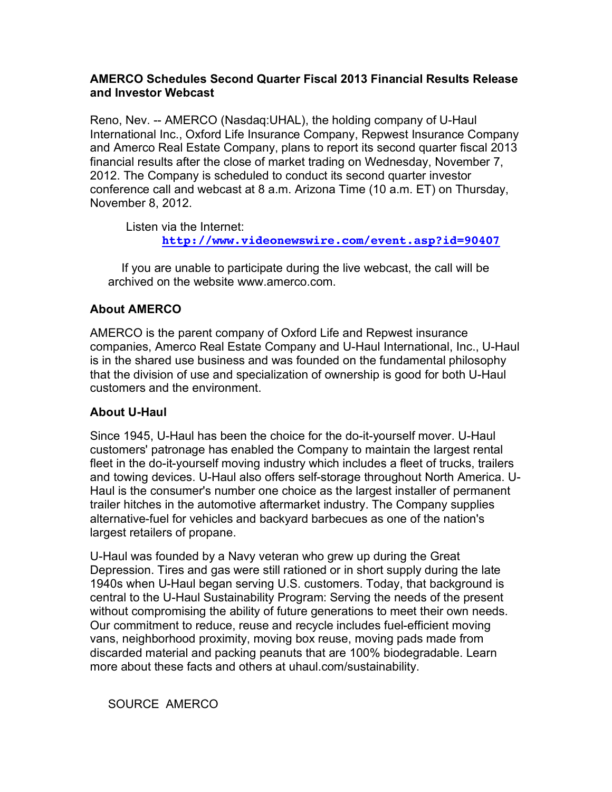## **AMERCO Schedules Second Quarter Fiscal 2013 Financial Results Release and Investor Webcast**

Reno, Nev. -- AMERCO (Nasdaq:UHAL), the holding company of U-Haul International Inc., Oxford Life Insurance Company, Repwest Insurance Company and Amerco Real Estate Company, plans to report its second quarter fiscal 2013 financial results after the close of market trading on Wednesday, November 7, 2012. The Company is scheduled to conduct its second quarter investor conference call and webcast at 8 a.m. Arizona Time (10 a.m. ET) on Thursday, November 8, 2012.

Listen via the Internet:

**http://www.videonewswire.com/event.asp?id=90407**

 If you are unable to participate during the live webcast, the call will be archived on the website www.amerco.com.

## **About AMERCO**

AMERCO is the parent company of Oxford Life and Repwest insurance companies, Amerco Real Estate Company and U-Haul International, Inc., U-Haul is in the shared use business and was founded on the fundamental philosophy that the division of use and specialization of ownership is good for both U-Haul customers and the environment.

## **About U-Haul**

Since 1945, U-Haul has been the choice for the do-it-yourself mover. U-Haul customers' patronage has enabled the Company to maintain the largest rental fleet in the do-it-yourself moving industry which includes a fleet of trucks, trailers and towing devices. U-Haul also offers self-storage throughout North America. U-Haul is the consumer's number one choice as the largest installer of permanent trailer hitches in the automotive aftermarket industry. The Company supplies alternative-fuel for vehicles and backyard barbecues as one of the nation's largest retailers of propane.

U-Haul was founded by a Navy veteran who grew up during the Great Depression. Tires and gas were still rationed or in short supply during the late 1940s when U-Haul began serving U.S. customers. Today, that background is central to the U-Haul Sustainability Program: Serving the needs of the present without compromising the ability of future generations to meet their own needs. Our commitment to reduce, reuse and recycle includes fuel-efficient moving vans, neighborhood proximity, moving box reuse, moving pads made from discarded material and packing peanuts that are 100% biodegradable. Learn more about these facts and others at uhaul.com/sustainability.

SOURCE AMERCO